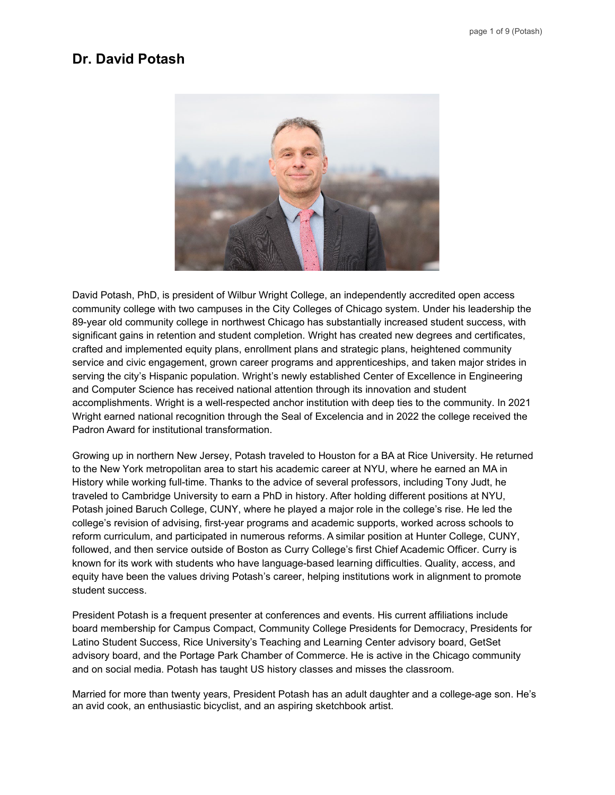# **Dr. David Potash**



David Potash, PhD, is president of Wilbur Wright College, an independently accredited open access community college with two campuses in the City Colleges of Chicago system. Under his leadership the 89-year old community college in northwest Chicago has substantially increased student success, with significant gains in retention and student completion. Wright has created new degrees and certificates, crafted and implemented equity plans, enrollment plans and strategic plans, heightened community service and civic engagement, grown career programs and apprenticeships, and taken major strides in serving the city's Hispanic population. Wright's newly established Center of Excellence in Engineering and Computer Science has received national attention through its innovation and student accomplishments. Wright is a well-respected anchor institution with deep ties to the community. In 2021 Wright earned national recognition through the Seal of Excelencia and in 2022 the college received the Padron Award for institutional transformation.

Growing up in northern New Jersey, Potash traveled to Houston for a BA at Rice University. He returned to the New York metropolitan area to start his academic career at NYU, where he earned an MA in History while working full-time. Thanks to the advice of several professors, including Tony Judt, he traveled to Cambridge University to earn a PhD in history. After holding different positions at NYU, Potash joined Baruch College, CUNY, where he played a major role in the college's rise. He led the college's revision of advising, first-year programs and academic supports, worked across schools to reform curriculum, and participated in numerous reforms. A similar position at Hunter College, CUNY, followed, and then service outside of Boston as Curry College's first Chief Academic Officer. Curry is known for its work with students who have language-based learning difficulties. Quality, access, and equity have been the values driving Potash's career, helping institutions work in alignment to promote student success.

President Potash is a frequent presenter at conferences and events. His current affiliations include board membership for Campus Compact, Community College Presidents for Democracy, Presidents for Latino Student Success, Rice University's Teaching and Learning Center advisory board, GetSet advisory board, and the Portage Park Chamber of Commerce. He is active in the Chicago community and on social media. Potash has taught US history classes and misses the classroom.

Married for more than twenty years, President Potash has an adult daughter and a college-age son. He's an avid cook, an enthusiastic bicyclist, and an aspiring sketchbook artist.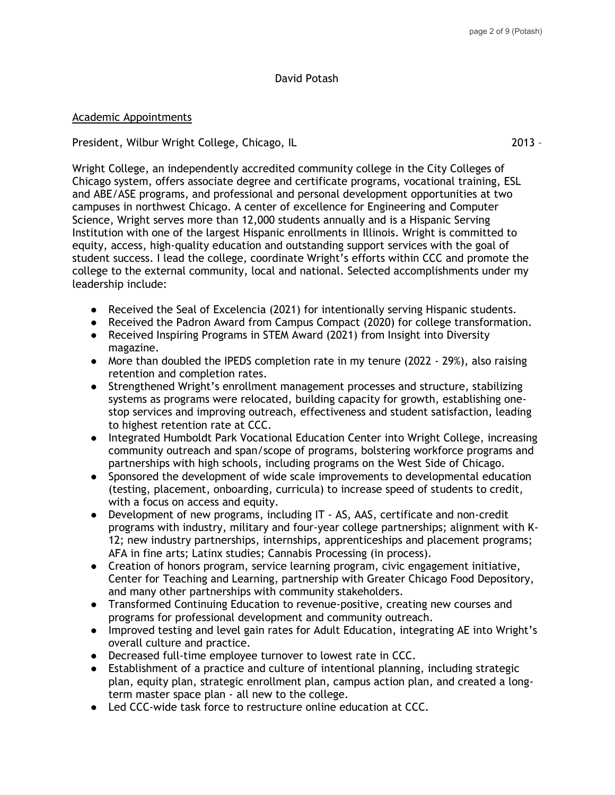## David Potash

#### Academic Appointments

President, Wilbur Wright College, Chicago, IL 2013 –

Wright College, an independently accredited community college in the City Colleges of Chicago system, offers associate degree and certificate programs, vocational training, ESL and ABE/ASE programs, and professional and personal development opportunities at two campuses in northwest Chicago. A center of excellence for Engineering and Computer Science, Wright serves more than 12,000 students annually and is a Hispanic Serving Institution with one of the largest Hispanic enrollments in Illinois. Wright is committed to equity, access, high-quality education and outstanding support services with the goal of student success. I lead the college, coordinate Wright's efforts within CCC and promote the college to the external community, local and national. Selected accomplishments under my leadership include:

- Received the Seal of Excelencia (2021) for intentionally serving Hispanic students.
- Received the Padron Award from Campus Compact (2020) for college transformation.
- Received Inspiring Programs in STEM Award (2021) from Insight into Diversity magazine.
- More than doubled the IPEDS completion rate in my tenure (2022 29%), also raising retention and completion rates.
- Strengthened Wright's enrollment management processes and structure, stabilizing systems as programs were relocated, building capacity for growth, establishing onestop services and improving outreach, effectiveness and student satisfaction, leading to highest retention rate at CCC.
- Integrated Humboldt Park Vocational Education Center into Wright College, increasing community outreach and span/scope of programs, bolstering workforce programs and partnerships with high schools, including programs on the West Side of Chicago.
- Sponsored the development of wide scale improvements to developmental education (testing, placement, onboarding, curricula) to increase speed of students to credit, with a focus on access and equity.
- Development of new programs, including IT AS, AAS, certificate and non-credit programs with industry, military and four-year college partnerships; alignment with K-12; new industry partnerships, internships, apprenticeships and placement programs; AFA in fine arts; Latinx studies; Cannabis Processing (in process).
- Creation of honors program, service learning program, civic engagement initiative, Center for Teaching and Learning, partnership with Greater Chicago Food Depository, and many other partnerships with community stakeholders.
- Transformed Continuing Education to revenue-positive, creating new courses and programs for professional development and community outreach.
- Improved testing and level gain rates for Adult Education, integrating AE into Wright's overall culture and practice.
- Decreased full-time employee turnover to lowest rate in CCC.
- Establishment of a practice and culture of intentional planning, including strategic plan, equity plan, strategic enrollment plan, campus action plan, and created a longterm master space plan - all new to the college.
- Led CCC-wide task force to restructure online education at CCC.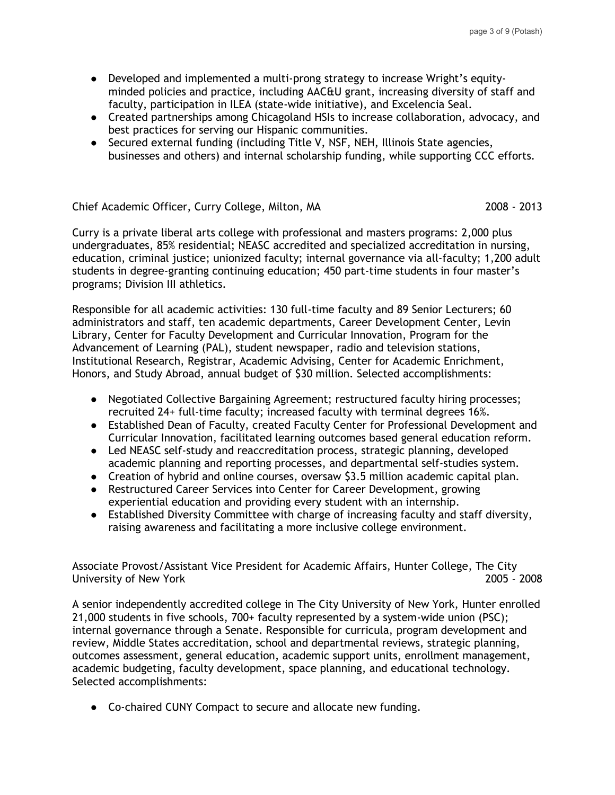- Developed and implemented a multi-prong strategy to increase Wright's equityminded policies and practice, including AAC&U grant, increasing diversity of staff and faculty, participation in ILEA (state-wide initiative), and Excelencia Seal.
- Created partnerships among Chicagoland HSIs to increase collaboration, advocacy, and best practices for serving our Hispanic communities.
- Secured external funding (including Title V, NSF, NEH, Illinois State agencies, businesses and others) and internal scholarship funding, while supporting CCC efforts.

## Chief Academic Officer, Curry College, Milton, MA 2008 - 2013

Curry is a private liberal arts college with professional and masters programs: 2,000 plus undergraduates, 85% residential; NEASC accredited and specialized accreditation in nursing, education, criminal justice; unionized faculty; internal governance via all-faculty; 1,200 adult students in degree-granting continuing education; 450 part-time students in four master's programs; Division III athletics.

Responsible for all academic activities: 130 full-time faculty and 89 Senior Lecturers; 60 administrators and staff, ten academic departments, Career Development Center, Levin Library, Center for Faculty Development and Curricular Innovation, Program for the Advancement of Learning (PAL), student newspaper, radio and television stations, Institutional Research, Registrar, Academic Advising, Center for Academic Enrichment, Honors, and Study Abroad, annual budget of \$30 million. Selected accomplishments:

- Negotiated Collective Bargaining Agreement; restructured faculty hiring processes; recruited 24+ full-time faculty; increased faculty with terminal degrees 16%.
- Established Dean of Faculty, created Faculty Center for Professional Development and Curricular Innovation, facilitated learning outcomes based general education reform.
- Led NEASC self-study and reaccreditation process, strategic planning, developed academic planning and reporting processes, and departmental self-studies system.
- Creation of hybrid and online courses, oversaw \$3.5 million academic capital plan.
- Restructured Career Services into Center for Career Development, growing experiential education and providing every student with an internship.
- Established Diversity Committee with charge of increasing faculty and staff diversity, raising awareness and facilitating a more inclusive college environment.

Associate Provost/Assistant Vice President for Academic Affairs, Hunter College, The City University of New York 2005 - 2008

A senior independently accredited college in The City University of New York, Hunter enrolled 21,000 students in five schools, 700+ faculty represented by a system-wide union (PSC); internal governance through a Senate. Responsible for curricula, program development and review, Middle States accreditation, school and departmental reviews, strategic planning, outcomes assessment, general education, academic support units, enrollment management, academic budgeting, faculty development, space planning, and educational technology. Selected accomplishments:

● Co-chaired CUNY Compact to secure and allocate new funding.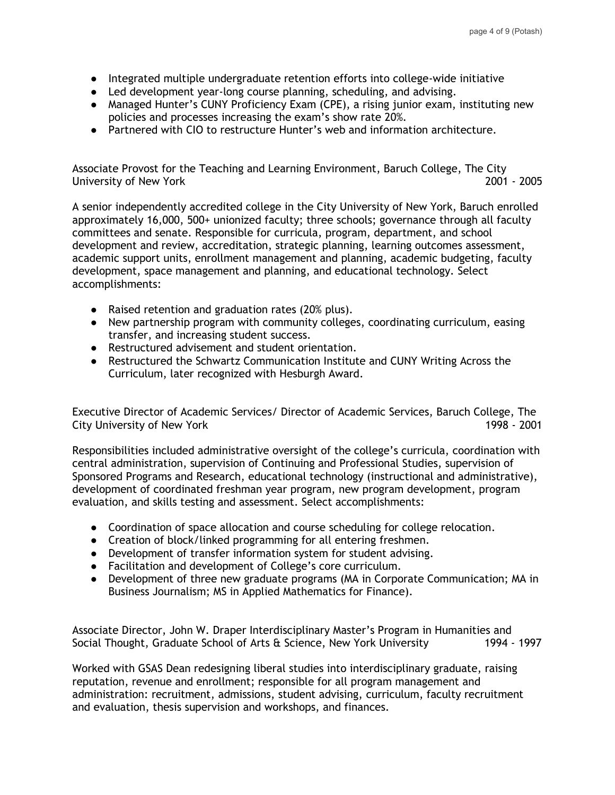- Integrated multiple undergraduate retention efforts into college-wide initiative
- Led development year-long course planning, scheduling, and advising.
- Managed Hunter's CUNY Proficiency Exam (CPE), a rising junior exam, instituting new policies and processes increasing the exam's show rate 20%.
- Partnered with CIO to restructure Hunter's web and information architecture.

Associate Provost for the Teaching and Learning Environment, Baruch College, The City University of New York 2001 - 2005

A senior independently accredited college in the City University of New York, Baruch enrolled approximately 16,000, 500+ unionized faculty; three schools; governance through all faculty committees and senate. Responsible for curricula, program, department, and school development and review, accreditation, strategic planning, learning outcomes assessment, academic support units, enrollment management and planning, academic budgeting, faculty development, space management and planning, and educational technology. Select accomplishments:

- Raised retention and graduation rates (20% plus).
- New partnership program with community colleges, coordinating curriculum, easing transfer, and increasing student success.
- Restructured advisement and student orientation.
- Restructured the Schwartz Communication Institute and CUNY Writing Across the Curriculum, later recognized with Hesburgh Award.

Executive Director of Academic Services/ Director of Academic Services, Baruch College, The City University of New York 1998 - 2001

Responsibilities included administrative oversight of the college's curricula, coordination with central administration, supervision of Continuing and Professional Studies, supervision of Sponsored Programs and Research, educational technology (instructional and administrative), development of coordinated freshman year program, new program development, program evaluation, and skills testing and assessment. Select accomplishments:

- Coordination of space allocation and course scheduling for college relocation.
- Creation of block/linked programming for all entering freshmen.
- Development of transfer information system for student advising.
- Facilitation and development of College's core curriculum.
- Development of three new graduate programs (MA in Corporate Communication; MA in Business Journalism; MS in Applied Mathematics for Finance).

Associate Director, John W. Draper Interdisciplinary Master's Program in Humanities and Social Thought, Graduate School of Arts & Science, New York University 1994 - 1997

Worked with GSAS Dean redesigning liberal studies into interdisciplinary graduate, raising reputation, revenue and enrollment; responsible for all program management and administration: recruitment, admissions, student advising, curriculum, faculty recruitment and evaluation, thesis supervision and workshops, and finances.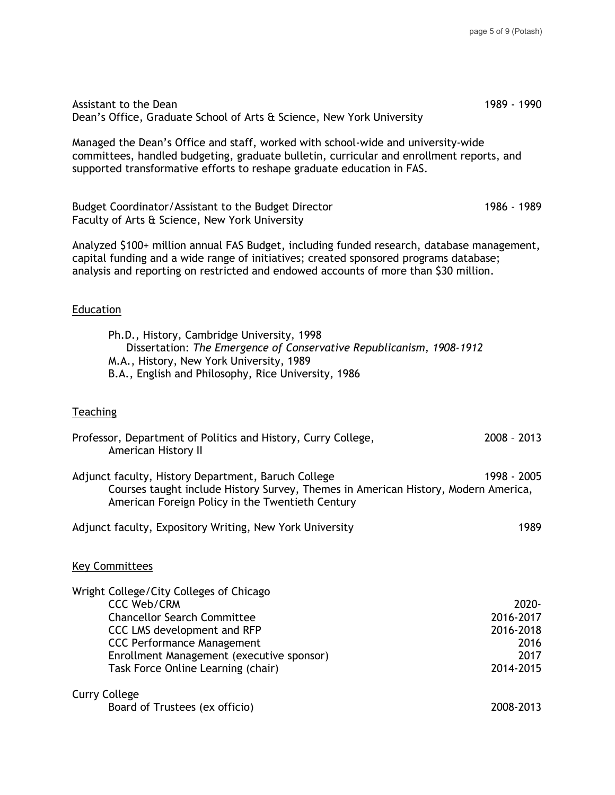| Assistant to the Dean<br>Dean's Office, Graduate School of Arts & Science, New York University                                                                                                                                                                              | 1989 - 1990                                                  |  |
|-----------------------------------------------------------------------------------------------------------------------------------------------------------------------------------------------------------------------------------------------------------------------------|--------------------------------------------------------------|--|
| Managed the Dean's Office and staff, worked with school-wide and university-wide<br>committees, handled budgeting, graduate bulletin, curricular and enrollment reports, and<br>supported transformative efforts to reshape graduate education in FAS.                      |                                                              |  |
| Budget Coordinator/Assistant to the Budget Director<br>Faculty of Arts & Science, New York University                                                                                                                                                                       | 1986 - 1989                                                  |  |
| Analyzed \$100+ million annual FAS Budget, including funded research, database management,<br>capital funding and a wide range of initiatives; created sponsored programs database;<br>analysis and reporting on restricted and endowed accounts of more than \$30 million. |                                                              |  |
| Education                                                                                                                                                                                                                                                                   |                                                              |  |
| Ph.D., History, Cambridge University, 1998<br>Dissertation: The Emergence of Conservative Republicanism, 1908-1912<br>M.A., History, New York University, 1989<br>B.A., English and Philosophy, Rice University, 1986                                                       |                                                              |  |
| Teaching                                                                                                                                                                                                                                                                    |                                                              |  |
| Professor, Department of Politics and History, Curry College,<br>American History II                                                                                                                                                                                        | $2008 - 2013$                                                |  |
| Adjunct faculty, History Department, Baruch College<br>Courses taught include History Survey, Themes in American History, Modern America,<br>American Foreign Policy in the Twentieth Century                                                                               | 1998 - 2005                                                  |  |
| Adjunct faculty, Expository Writing, New York University                                                                                                                                                                                                                    | 1989                                                         |  |
| <b>Key Committees</b>                                                                                                                                                                                                                                                       |                                                              |  |
| Wright College/City Colleges of Chicago<br><b>CCC Web/CRM</b><br><b>Chancellor Search Committee</b><br>CCC LMS development and RFP<br><b>CCC Performance Management</b><br>Enrollment Management (executive sponsor)<br>Task Force Online Learning (chair)                  | 2020-<br>2016-2017<br>2016-2018<br>2016<br>2017<br>2014-2015 |  |
| <b>Curry College</b><br>Board of Trustees (ex officio)                                                                                                                                                                                                                      | 2008-2013                                                    |  |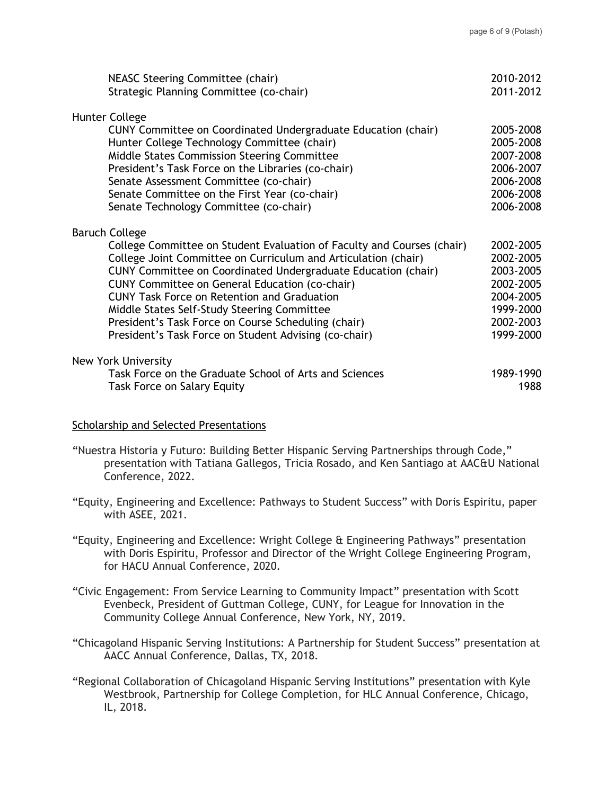|  | NEASC Steering Committee (chair)<br>Strategic Planning Committee (co-chair) | 2010-2012<br>2011-2012 |
|--|-----------------------------------------------------------------------------|------------------------|
|  | Hunter College                                                              |                        |
|  | CUNY Committee on Coordinated Undergraduate Education (chair)               | 2005-2008              |
|  | Hunter College Technology Committee (chair)                                 | 2005-2008              |
|  | Middle States Commission Steering Committee                                 | 2007-2008              |
|  | President's Task Force on the Libraries (co-chair)                          | 2006-2007              |
|  | Senate Assessment Committee (co-chair)                                      | 2006-2008              |
|  | Senate Committee on the First Year (co-chair)                               | 2006-2008              |
|  | Senate Technology Committee (co-chair)                                      | 2006-2008              |
|  | <b>Baruch College</b>                                                       |                        |
|  | College Committee on Student Evaluation of Faculty and Courses (chair)      | 2002-2005              |
|  | College Joint Committee on Curriculum and Articulation (chair)              | 2002-2005              |
|  | CUNY Committee on Coordinated Undergraduate Education (chair)               | 2003-2005              |
|  | CUNY Committee on General Education (co-chair)                              | 2002-2005              |
|  | <b>CUNY Task Force on Retention and Graduation</b>                          | 2004-2005              |
|  | Middle States Self-Study Steering Committee                                 | 1999-2000              |
|  | President's Task Force on Course Scheduling (chair)                         | 2002-2003              |
|  | President's Task Force on Student Advising (co-chair)                       | 1999-2000              |
|  | <b>New York University</b>                                                  |                        |
|  | Task Force on the Graduate School of Arts and Sciences                      | 1989-1990              |
|  | <b>Task Force on Salary Equity</b>                                          | 1988                   |

## Scholarship and Selected Presentations

- "Nuestra Historia y Futuro: Building Better Hispanic Serving Partnerships through Code," presentation with Tatiana Gallegos, Tricia Rosado, and Ken Santiago at AAC&U National Conference, 2022.
- "Equity, Engineering and Excellence: Pathways to Student Success" with Doris Espiritu, paper with ASEE, 2021.
- "Equity, Engineering and Excellence: Wright College & Engineering Pathways" presentation with Doris Espiritu, Professor and Director of the Wright College Engineering Program, for HACU Annual Conference, 2020.
- "Civic Engagement: From Service Learning to Community Impact" presentation with Scott Evenbeck, President of Guttman College, CUNY, for League for Innovation in the Community College Annual Conference, New York, NY, 2019.
- "Chicagoland Hispanic Serving Institutions: A Partnership for Student Success" presentation at AACC Annual Conference, Dallas, TX, 2018.
- "Regional Collaboration of Chicagoland Hispanic Serving Institutions" presentation with Kyle Westbrook, Partnership for College Completion, for HLC Annual Conference, Chicago, IL, 2018.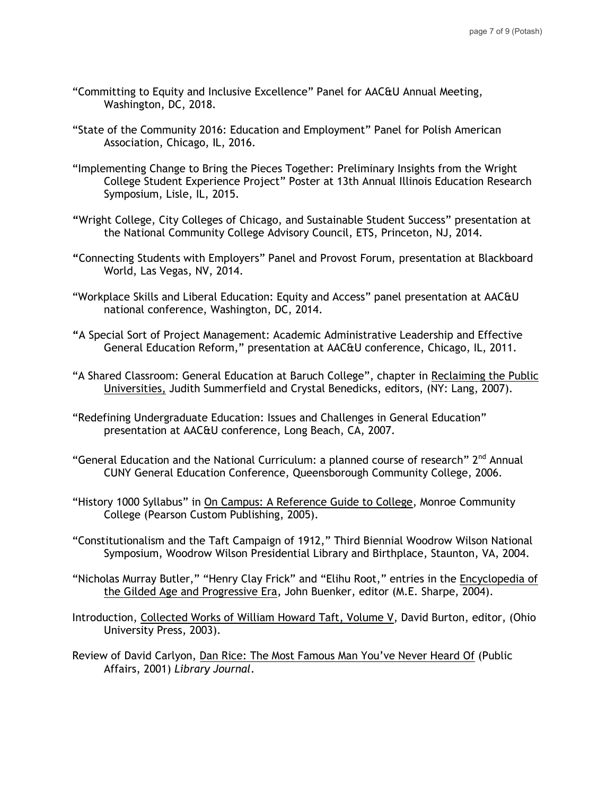- "Committing to Equity and Inclusive Excellence" Panel for AAC&U Annual Meeting, Washington, DC, 2018.
- "State of the Community 2016: Education and Employment" Panel for Polish American Association, Chicago, IL, 2016.
- "Implementing Change to Bring the Pieces Together: Preliminary Insights from the Wright College Student Experience Project" Poster at 13th Annual Illinois Education Research Symposium, Lisle, IL, 2015.
- **"**Wright College, City Colleges of Chicago, and Sustainable Student Success" presentation at the National Community College Advisory Council, ETS, Princeton, NJ, 2014.
- **"**Connecting Students with Employers" Panel and Provost Forum, presentation at Blackboard World, Las Vegas, NV, 2014.
- "Workplace Skills and Liberal Education: Equity and Access" panel presentation at AAC&U national conference, Washington, DC, 2014.
- **"**A Special Sort of Project Management: Academic Administrative Leadership and Effective General Education Reform," presentation at AAC&U conference, Chicago, IL, 2011.
- "A Shared Classroom: General Education at Baruch College", chapter in Reclaiming the Public Universities, Judith Summerfield and Crystal Benedicks, editors, (NY: Lang, 2007).
- "Redefining Undergraduate Education: Issues and Challenges in General Education" presentation at AAC&U conference, Long Beach, CA, 2007.
- "General Education and the National Curriculum: a planned course of research" 2<sup>nd</sup> Annual CUNY General Education Conference, Queensborough Community College, 2006.
- "History 1000 Syllabus" in On Campus: A Reference Guide to College, Monroe Community College (Pearson Custom Publishing, 2005).
- "Constitutionalism and the Taft Campaign of 1912," Third Biennial Woodrow Wilson National Symposium, Woodrow Wilson Presidential Library and Birthplace, Staunton, VA, 2004.
- "Nicholas Murray Butler," "Henry Clay Frick" and "Elihu Root," entries in the Encyclopedia of the Gilded Age and Progressive Era, John Buenker, editor (M.E. Sharpe, 2004).
- Introduction, Collected Works of William Howard Taft, Volume V, David Burton, editor, (Ohio University Press, 2003).
- Review of David Carlyon, Dan Rice: The Most Famous Man You've Never Heard Of (Public Affairs, 2001) *Library Journal*.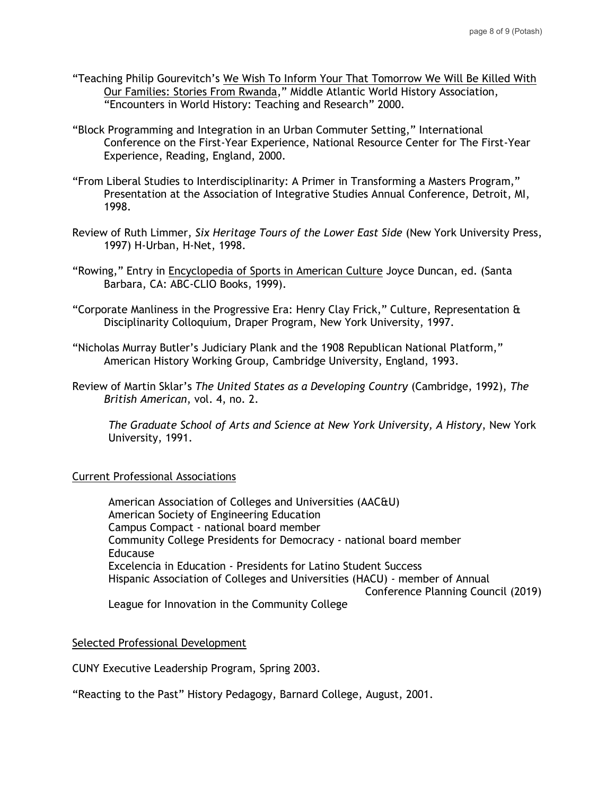- "Teaching Philip Gourevitch's We Wish To Inform Your That Tomorrow We Will Be Killed With Our Families: Stories From Rwanda," Middle Atlantic World History Association, "Encounters in World History: Teaching and Research" 2000.
- "Block Programming and Integration in an Urban Commuter Setting," International Conference on the First-Year Experience, National Resource Center for The First-Year Experience, Reading, England, 2000.
- "From Liberal Studies to Interdisciplinarity: A Primer in Transforming a Masters Program," Presentation at the Association of Integrative Studies Annual Conference, Detroit, MI, 1998.
- Review of Ruth Limmer, *Six Heritage Tours of the Lower East Side* (New York University Press, 1997) H-Urban, H-Net, 1998.
- "Rowing," Entry in Encyclopedia of Sports in American Culture Joyce Duncan, ed. (Santa Barbara, CA: ABC-CLIO Books, 1999).
- "Corporate Manliness in the Progressive Era: Henry Clay Frick," Culture, Representation & Disciplinarity Colloquium, Draper Program, New York University, 1997.
- "Nicholas Murray Butler's Judiciary Plank and the 1908 Republican National Platform," American History Working Group, Cambridge University, England, 1993.
- Review of Martin Sklar's *The United States as a Developing Country* (Cambridge, 1992), *The British American*, vol. 4, no. 2.

*The Graduate School of Arts and Science at New York University, A History*, New York University, 1991.

## Current Professional Associations

American Association of Colleges and Universities (AAC&U) American Society of Engineering Education Campus Compact - national board member Community College Presidents for Democracy - national board member Educause Excelencia in Education - Presidents for Latino Student Success Hispanic Association of Colleges and Universities (HACU) - member of Annual Conference Planning Council (2019) League for Innovation in the Community College

## Selected Professional Development

CUNY Executive Leadership Program, Spring 2003.

"Reacting to the Past" History Pedagogy, Barnard College, August, 2001.